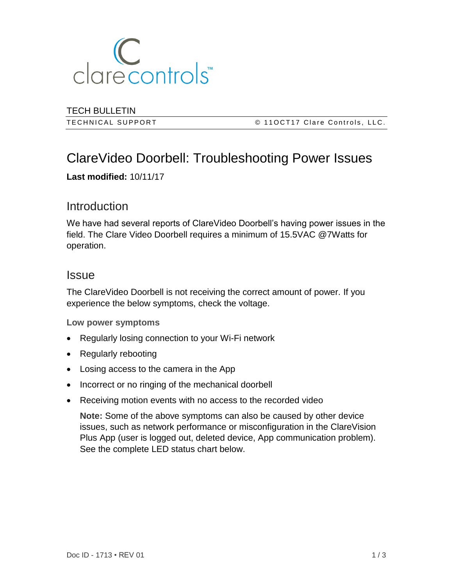

TECH BULLETIN

T E C H N I C A L S U P P O R T © 1 1 O C T 1 7 C l a r e C o n t r o l s , L L C .

# ClareVideo Doorbell: Troubleshooting Power Issues

**Last modified:** 10/11/17

## **Introduction**

We have had several reports of ClareVideo Doorbell's having power issues in the field. The Clare Video Doorbell requires a minimum of 15.5VAC @7Watts for operation.

### **Issue**

The ClareVideo Doorbell is not receiving the correct amount of power. If you experience the below symptoms, check the voltage.

**Low power symptoms**

- Regularly losing connection to your Wi-Fi network
- Regularly rebooting
- Losing access to the camera in the App
- Incorrect or no ringing of the mechanical doorbell
- Receiving motion events with no access to the recorded video

**Note:** Some of the above symptoms can also be caused by other device issues, such as network performance or misconfiguration in the ClareVision Plus App (user is logged out, deleted device, App communication problem). See the complete LED status chart below.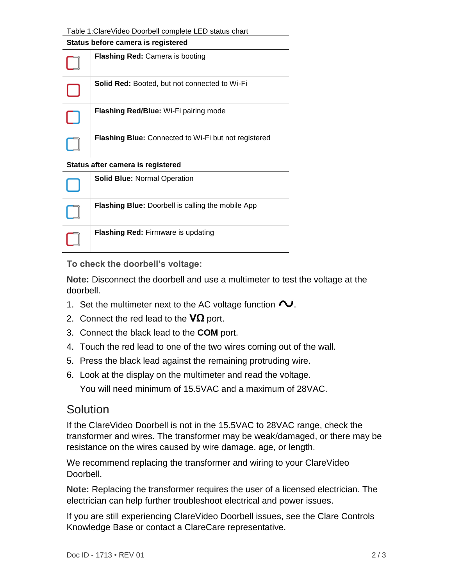| Table 1: Clare Video Doorbell complete LED status chart |
|---------------------------------------------------------|
|---------------------------------------------------------|

| Status before camera is registered |                                                             |
|------------------------------------|-------------------------------------------------------------|
|                                    | <b>Flashing Red:</b> Camera is booting                      |
|                                    | <b>Solid Red:</b> Booted, but not connected to Wi-Fi        |
|                                    | <b>Flashing Red/Blue:</b> Wi-Fi pairing mode                |
|                                    | <b>Flashing Blue:</b> Connected to Wi-Fi but not registered |

#### **Status after camera is registered**

| <b>Solid Blue: Normal Operation</b>                      |
|----------------------------------------------------------|
| <b>Flashing Blue:</b> Doorbell is calling the mobile App |
| <b>Flashing Red: Firmware is updating</b>                |

**To check the doorbell's voltage:** 

**Note:** Disconnect the doorbell and use a multimeter to test the voltage at the doorbell.

- 1. Set the multimeter next to the AC voltage function  $\sim$ .
- 2. Connect the red lead to the **VΩ** port.
- 3. Connect the black lead to the **COM** port.
- 4. Touch the red lead to one of the two wires coming out of the wall.
- 5. Press the black lead against the remaining protruding wire.
- 6. Look at the display on the multimeter and read the voltage.

You will need minimum of 15.5VAC and a maximum of 28VAC.

### **Solution**

If the ClareVideo Doorbell is not in the 15.5VAC to 28VAC range, check the transformer and wires. The transformer may be weak/damaged, or there may be resistance on the wires caused by wire damage. age, or length.

We recommend replacing the transformer and wiring to your ClareVideo Doorbell.

**Note:** Replacing the transformer requires the user of a licensed electrician. The electrician can help further troubleshoot electrical and power issues.

If you are still experiencing ClareVideo Doorbell issues, see the Clare Controls Knowledge Base or contact a ClareCare representative.